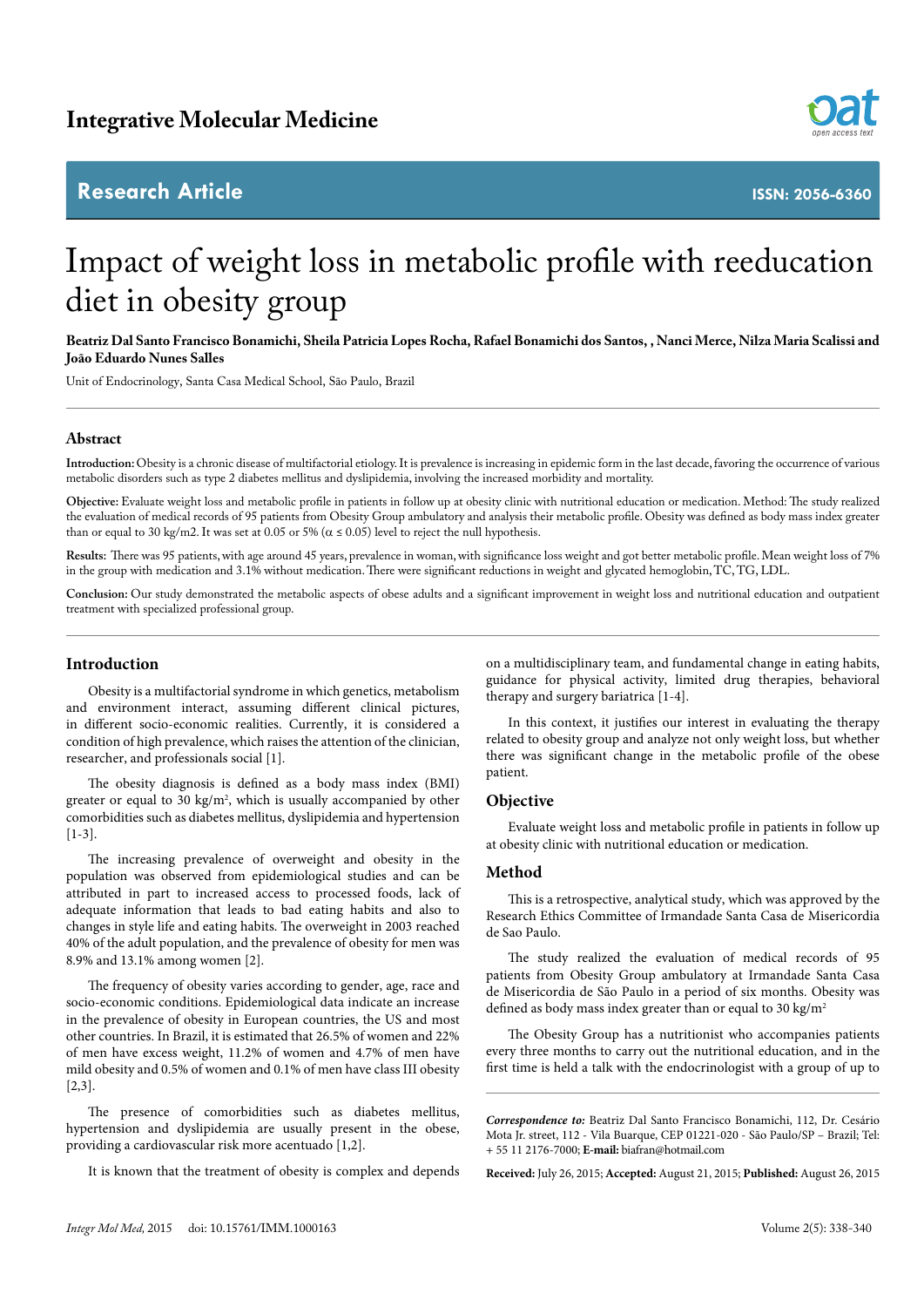## **Research Article**



**ISSN: 2056-6360**

# Impact of weight loss in metabolic profile with reeducation diet in obesity group

**Beatriz Dal Santo Francisco Bonamichi, Sheila Patricia Lopes Rocha, Rafael Bonamichi dos Santos, , Nanci Merce, Nilza Maria Scalissi and João Eduardo Nunes Salles**

Unit of Endocrinology, Santa Casa Medical School, São Paulo, Brazil

#### **Abstract**

**Introduction:** Obesity is a chronic disease of multifactorial etiology. It is prevalence is increasing in epidemic form in the last decade, favoring the occurrence of various metabolic disorders such as type 2 diabetes mellitus and dyslipidemia, involving the increased morbidity and mortality.

**Objective:** Evaluate weight loss and metabolic profile in patients in follow up at obesity clinic with nutritional education or medication. Method: The study realized the evaluation of medical records of 95 patients from Obesity Group ambulatory and analysis their metabolic profile. Obesity was defined as body mass index greater than or equal to 30 kg/m2. It was set at 0.05 or 5% ( $\alpha \le 0.05$ ) level to reject the null hypothesis.

**Results:** There was 95 patients, with age around 45 years, prevalence in woman, with significance loss weight and got better metabolic profile. Mean weight loss of 7% in the group with medication and 3.1% without medication. There were significant reductions in weight and glycated hemoglobin, TC, TG, LDL.

**Conclusion:** Our study demonstrated the metabolic aspects of obese adults and a significant improvement in weight loss and nutritional education and outpatient treatment with specialized professional group.

#### **Introduction**

Obesity is a multifactorial syndrome in which genetics, metabolism and environment interact, assuming different clinical pictures, in different socio-economic realities. Currently, it is considered a condition of high prevalence, which raises the attention of the clinician, researcher, and professionals social [1].

The obesity diagnosis is defined as a body mass index (BMI) greater or equal to 30 kg/m<sup>2</sup>, which is usually accompanied by other comorbidities such as diabetes mellitus, dyslipidemia and hypertension [1-3].

The increasing prevalence of overweight and obesity in the population was observed from epidemiological studies and can be attributed in part to increased access to processed foods, lack of adequate information that leads to bad eating habits and also to changes in style life and eating habits. The overweight in 2003 reached 40% of the adult population, and the prevalence of obesity for men was 8.9% and 13.1% among women [2].

The frequency of obesity varies according to gender, age, race and socio-economic conditions. Epidemiological data indicate an increase in the prevalence of obesity in European countries, the US and most other countries. In Brazil, it is estimated that 26.5% of women and 22% of men have excess weight, 11.2% of women and 4.7% of men have mild obesity and 0.5% of women and 0.1% of men have class III obesity [2,3].

The presence of comorbidities such as diabetes mellitus, hypertension and dyslipidemia are usually present in the obese, providing a cardiovascular risk more acentuado [1,2].

It is known that the treatment of obesity is complex and depends

on a multidisciplinary team, and fundamental change in eating habits, guidance for physical activity, limited drug therapies, behavioral therapy and surgery bariatrica [1-4].

In this context, it justifies our interest in evaluating the therapy related to obesity group and analyze not only weight loss, but whether there was significant change in the metabolic profile of the obese patient.

#### **Objective**

Evaluate weight loss and metabolic profile in patients in follow up at obesity clinic with nutritional education or medication.

#### **Method**

This is a retrospective, analytical study, which was approved by the Research Ethics Committee of Irmandade Santa Casa de Misericordia de Sao Paulo.

The study realized the evaluation of medical records of 95 patients from Obesity Group ambulatory at Irmandade Santa Casa de Misericordia de São Paulo in a period of six months. Obesity was defined as body mass index greater than or equal to 30 kg/m<sup>2</sup>

The Obesity Group has a nutritionist who accompanies patients every three months to carry out the nutritional education, and in the first time is held a talk with the endocrinologist with a group of up to

*Correspondence to:* Beatriz Dal Santo Francisco Bonamichi, 112, Dr. Cesário Mota Jr. street, 112 - Vila Buarque, CEP 01221-020 - São Paulo/SP – Brazil; Tel: + 55 11 2176-7000; **E-mail:** biafran@hotmail.com

**Received:** July 26, 2015; **Accepted:** August 21, 2015; **Published:** August 26, 2015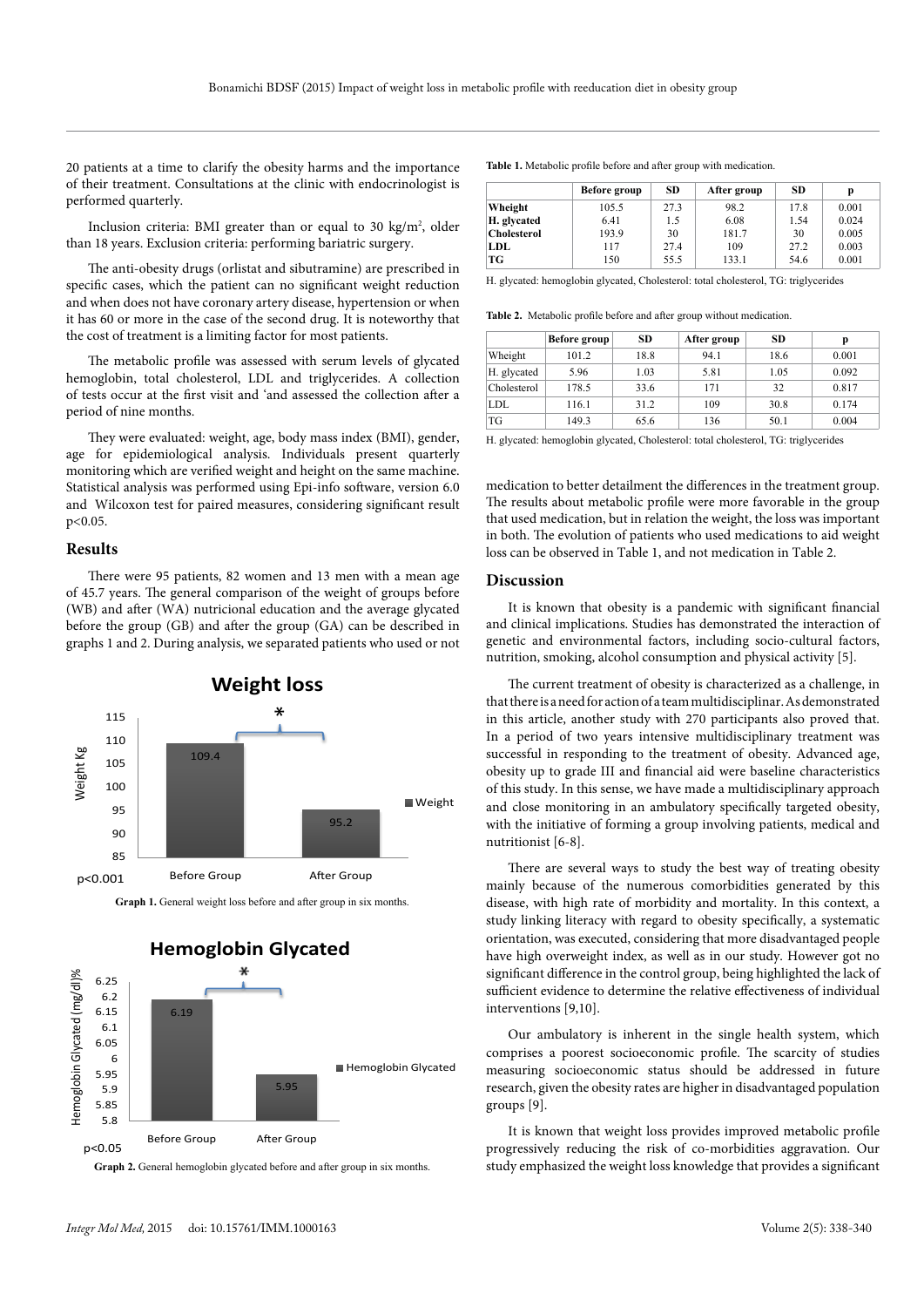20 patients at a time to clarify the obesity harms and the importance of their treatment. Consultations at the clinic with endocrinologist is performed quarterly.

Inclusion criteria: BMI greater than or equal to 30 kg/m<sup>2</sup>, older than 18 years. Exclusion criteria: performing bariatric surgery.

The anti-obesity drugs (orlistat and sibutramine) are prescribed in specific cases, which the patient can no significant weight reduction and when does not have coronary artery disease, hypertension or when it has 60 or more in the case of the second drug. It is noteworthy that the cost of treatment is a limiting factor for most patients.

The metabolic profile was assessed with serum levels of glycated hemoglobin, total cholesterol, LDL and triglycerides. A collection of tests occur at the first visit and 'and assessed the collection after a period of nine months.

They were evaluated: weight, age, body mass index (BMI), gender, age for epidemiological analysis. Individuals present quarterly monitoring which are verified weight and height on the same machine. Statistical analysis was performed using Epi-info software, version 6.0 and Wilcoxon test for paired measures, considering significant result p<0.05.

### **Results**

There were 95 patients, 82 women and 13 men with a mean age of 45.7 years. The general comparison of the weight of groups before (WB) and after (WA) nutricional education and the average glycated before the group (GB) and after the group (GA) can be described in graphs 1 and 2. During analysis, we separated patients who used or not







**Graph 2.** General hemoglobin glycated before and after group in six months.

**Table 1.** Metabolic profile before and after group with medication.

|                    | Before group | <b>SD</b> | After group | <b>SD</b> | p     |
|--------------------|--------------|-----------|-------------|-----------|-------|
| Wheight            | 105.5        | 27.3      | 98.2        | 17.8      | 0.001 |
| H. glycated        | 6.41         | 1.5       | 6.08        | 1.54      | 0.024 |
| <b>Cholesterol</b> | 193.9        | 30        | 181.7       | 30        | 0.005 |
| LDL.               | 117          | 27.4      | 109         | 27.2      | 0.003 |
| TG                 | 150          | 55.5      | 133.1       | 54.6      | 0.001 |

H. glycated: hemoglobin glycated, Cholesterol: total cholesterol, TG: triglycerides

**Table 2.** Metabolic profile before and after group without medication.

|             | Before group | <b>SD</b> | After group | <b>SD</b> | p     |
|-------------|--------------|-----------|-------------|-----------|-------|
| Wheight     | 101.2        | 18.8      | 94.1        | 18.6      | 0.001 |
| H. glycated | 5.96         | 1.03      | 5.81        | 1.05      | 0.092 |
| Cholesterol | 178.5        | 33.6      | 171         | 32        | 0.817 |
| LDL         | 116.1        | 31.2      | 109         | 30.8      | 0.174 |
| TG          | 149.3        | 65.6      | 136         | 50.1      | 0.004 |

H. glycated: hemoglobin glycated, Cholesterol: total cholesterol, TG: triglycerides

medication to better detailment the differences in the treatment group. The results about metabolic profile were more favorable in the group that used medication, but in relation the weight, the loss was important in both. The evolution of patients who used medications to aid weight loss can be observed in Table 1, and not medication in Table 2.

#### **Discussion**

It is known that obesity is a pandemic with significant financial and clinical implications. Studies has demonstrated the interaction of genetic and environmental factors, including socio-cultural factors, nutrition, smoking, alcohol consumption and physical activity [5].

The current treatment of obesity is characterized as a challenge, in that there is a need for action of a team multidisciplinar. As demonstrated in this article, another study with 270 participants also proved that. In a period of two years intensive multidisciplinary treatment was successful in responding to the treatment of obesity. Advanced age, obesity up to grade III and financial aid were baseline characteristics of this study. In this sense, we have made a multidisciplinary approach and close monitoring in an ambulatory specifically targeted obesity, with the initiative of forming a group involving patients, medical and nutritionist [6-8].

There are several ways to study the best way of treating obesity mainly because of the numerous comorbidities generated by this disease, with high rate of morbidity and mortality. In this context, a study linking literacy with regard to obesity specifically, a systematic orientation, was executed, considering that more disadvantaged people have high overweight index, as well as in our study. However got no significant difference in the control group, being highlighted the lack of sufficient evidence to determine the relative effectiveness of individual interventions [9,10].

Our ambulatory is inherent in the single health system, which comprises a poorest socioeconomic profile. The scarcity of studies measuring socioeconomic status should be addressed in future research, given the obesity rates are higher in disadvantaged population groups [9].

It is known that weight loss provides improved metabolic profile progressively reducing the risk of co-morbidities aggravation. Our study emphasized the weight loss knowledge that provides a significant